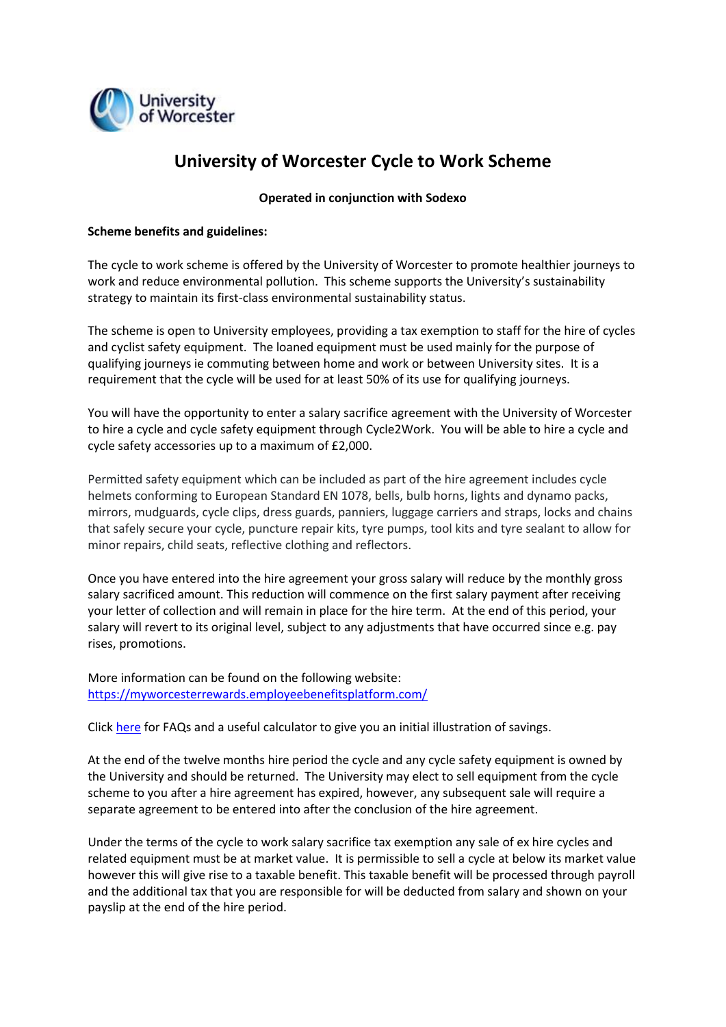

# **University of Worcester Cycle to Work Scheme**

#### **Operated in conjunction with Sodexo**

#### **Scheme benefits and guidelines:**

The cycle to work scheme is offered by the University of Worcester to promote healthier journeys to work and reduce environmental pollution. This scheme supports the University's sustainability strategy to maintain its first-class environmental sustainability status.

The scheme is open to University employees, providing a tax exemption to staff for the hire of cycles and cyclist safety equipment. The loaned equipment must be used mainly for the purpose of qualifying journeys ie commuting between home and work or between University sites. It is a requirement that the cycle will be used for at least 50% of its use for qualifying journeys.

You will have the opportunity to enter a salary sacrifice agreement with the University of Worcester to hire a cycle and cycle safety equipment through Cycle2Work. You will be able to hire a cycle and cycle safety accessories up to a maximum of £2,000.

Permitted safety equipment which can be included as part of the hire agreement includes cycle helmets conforming to European Standard EN 1078, bells, bulb horns, lights and dynamo packs, mirrors, mudguards, cycle clips, dress guards, panniers, luggage carriers and straps, locks and chains that safely secure your cycle, puncture repair kits, tyre pumps, tool kits and tyre sealant to allow for minor repairs, child seats, reflective clothing and reflectors.

Once you have entered into the hire agreement your gross salary will reduce by the monthly gross salary sacrificed amount. This reduction will commence on the first salary payment after receiving your letter of collection and will remain in place for the hire term. At the end of this period, your salary will revert to its original level, subject to any adjustments that have occurred since e.g. pay rises, promotions.

More information can be found on the following website: <https://myworcesterrewards.employeebenefitsplatform.com/>

Click [here](https://myworcesterrewards.salarydeductplatform.com/Information/Index/16020) for FAQs and a useful calculator to give you an initial illustration of savings.

At the end of the twelve months hire period the cycle and any cycle safety equipment is owned by the University and should be returned. The University may elect to sell equipment from the cycle scheme to you after a hire agreement has expired, however, any subsequent sale will require a separate agreement to be entered into after the conclusion of the hire agreement.

Under the terms of the cycle to work salary sacrifice tax exemption any sale of ex hire cycles and related equipment must be at market value. It is permissible to sell a cycle at below its market value however this will give rise to a taxable benefit. This taxable benefit will be processed through payroll and the additional tax that you are responsible for will be deducted from salary and shown on your payslip at the end of the hire period.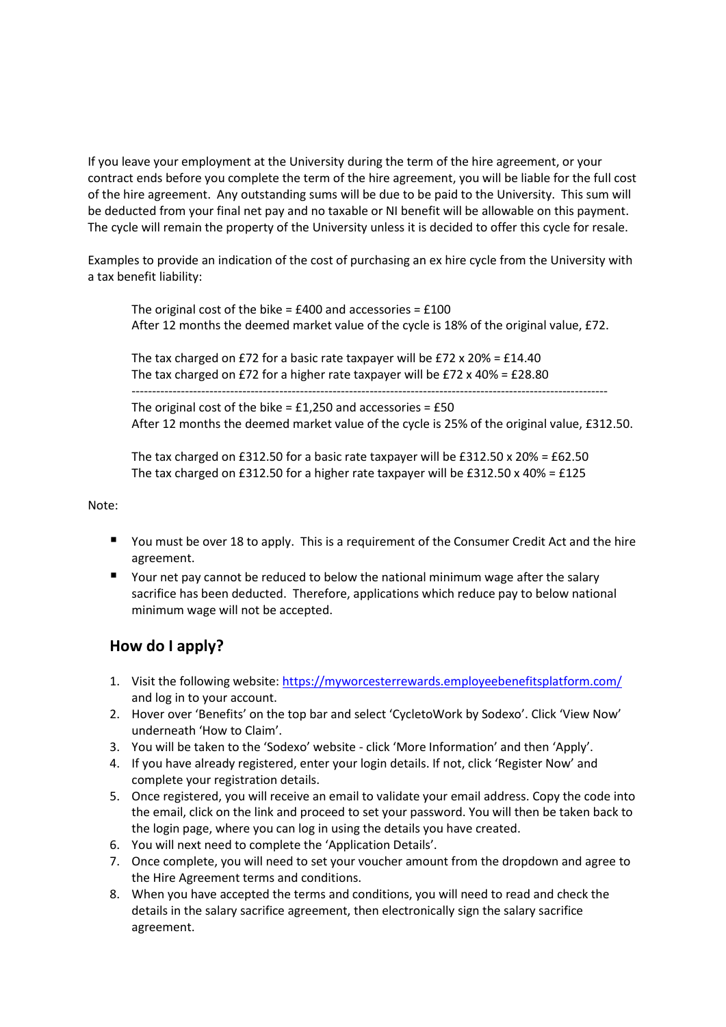If you leave your employment at the University during the term of the hire agreement, or your contract ends before you complete the term of the hire agreement, you will be liable for the full cost of the hire agreement. Any outstanding sums will be due to be paid to the University. This sum will be deducted from your final net pay and no taxable or NI benefit will be allowable on this payment. The cycle will remain the property of the University unless it is decided to offer this cycle for resale.

Examples to provide an indication of the cost of purchasing an ex hire cycle from the University with a tax benefit liability:

The original cost of the bike =  $£400$  and accessories =  $£100$ After 12 months the deemed market value of the cycle is 18% of the original value, £72.

The tax charged on £72 for a basic rate taxpayer will be £72 x 20% = £14.40 The tax charged on £72 for a higher rate taxpayer will be £72 x 40% = £28.80

-------------------------------------------------------------------------------------------------------------------- The original cost of the bike =  $£1,250$  and accessories =  $£50$ 

After 12 months the deemed market value of the cycle is 25% of the original value, £312.50.

The tax charged on £312.50 for a basic rate taxpayer will be £312.50  $\times$  20% = £62.50 The tax charged on £312.50 for a higher rate taxpayer will be £312.50 x 40% = £125

Note:

- You must be over 18 to apply. This is a requirement of the Consumer Credit Act and the hire agreement.
- Your net pay cannot be reduced to below the national minimum wage after the salary sacrifice has been deducted. Therefore, applications which reduce pay to below national minimum wage will not be accepted.

### **How do I apply?**

- 1. Visit the following website[: https://myworcesterrewards.employeebenefitsplatform.com/](https://myworcesterrewards.employeebenefitsplatform.com/) and log in to your account.
- 2. Hover over 'Benefits' on the top bar and select 'CycletoWork by Sodexo'. Click 'View Now' underneath 'How to Claim'.
- 3. You will be taken to the 'Sodexo' website click 'More Information' and then 'Apply'.
- 4. If you have already registered, enter your login details. If not, click 'Register Now' and complete your registration details.
- 5. Once registered, you will receive an email to validate your email address. Copy the code into the email, click on the link and proceed to set your password. You will then be taken back to the login page, where you can log in using the details you have created.
- 6. You will next need to complete the 'Application Details'.
- 7. Once complete, you will need to set your voucher amount from the dropdown and agree to the Hire Agreement terms and conditions.
- 8. When you have accepted the terms and conditions, you will need to read and check the details in the salary sacrifice agreement, then electronically sign the salary sacrifice agreement.